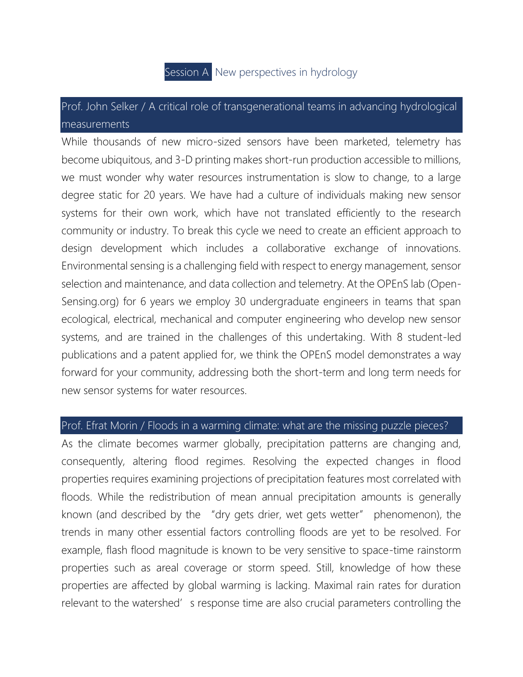

## Prof. John Selker / A critical role of transgenerational teams in advancing hydrological measurements

While thousands of new micro-sized sensors have been marketed, telemetry has become ubiquitous, and 3-D printing makes short-run production accessible to millions, we must wonder why water resources instrumentation is slow to change, to a large degree static for 20 years. We have had a culture of individuals making new sensor systems for their own work, which have not translated efficiently to the research community or industry. To break this cycle we need to create an efficient approach to design development which includes a collaborative exchange of innovations. Environmental sensing is a challenging field with respect to energy management, sensor selection and maintenance, and data collection and telemetry. At the OPEnS lab (Open-Sensing.org) for 6 years we employ 30 undergraduate engineers in teams that span ecological, electrical, mechanical and computer engineering who develop new sensor systems, and are trained in the challenges of this undertaking. With 8 student-led publications and a patent applied for, we think the OPEnS model demonstrates a way forward for your community, addressing both the short-term and long term needs for new sensor systems for water resources.

## Prof. Efrat Morin / Floods in a warming climate: what are the missing puzzle pieces?

As the climate becomes warmer globally, precipitation patterns are changing and, consequently, altering flood regimes. Resolving the expected changes in flood properties requires examining projections of precipitation features most correlated with floods. While the redistribution of mean annual precipitation amounts is generally known (and described by the "dry gets drier, wet gets wetter" phenomenon), the trends in many other essential factors controlling floods are yet to be resolved. For example, flash flood magnitude is known to be very sensitive to space-time rainstorm properties such as areal coverage or storm speed. Still, knowledge of how these properties are affected by global warming is lacking. Maximal rain rates for duration relevant to the watershed' s response time are also crucial parameters controlling the